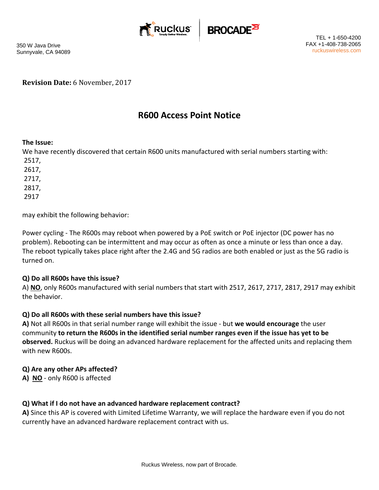



350 W Java Drive Sunnyvale, CA 94089

**Revision Date:** 6 November, 2017

# **R600 Access Point Notice**

#### **The Issue:**

We have recently discovered that certain R600 units manufactured with serial numbers starting with: 2517,

2617, 2717, 2817,

2917

may exhibit the following behavior:

Power cycling ‐ The R600s may reboot when powered by a PoE switch or PoE injector (DC power has no problem). Rebooting can be intermittent and may occur as often as once a minute or less than once a day. The reboot typically takes place right after the 2.4G and 5G radios are both enabled or just as the 5G radio is turned on.

#### **Q) Do all R600s have this issue?**

A) **NO**, only R600s manufactured with serial numbers that start with 2517, 2617, 2717, 2817, 2917 may exhibit the behavior.

## **Q) Do all R600s with these serial numbers have this issue?**

**A)** Not all R600s in that serial number range will exhibit the issue ‐ but **we would encourage** the user community to return the R600s in the identified serial number ranges even if the issue has yet to be **observed.** Ruckus will be doing an advanced hardware replacement for the affected units and replacing them with new R600s.

#### **Q) Are any other APs affected?**

**A) NO** ‐ only R600 is affected

## **Q) What if I do not have an advanced hardware replacement contract?**

**A)** Since this AP is covered with Limited Lifetime Warranty, we will replace the hardware even if you do not currently have an advanced hardware replacement contract with us.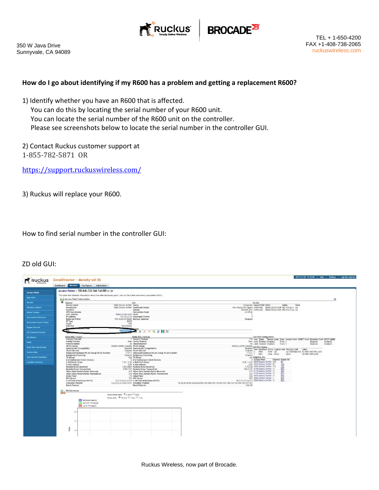



#### **How do I go about identifying if my R600 has a problem and getting a replacement R600?**

- 1) Identify whether you have an R600 that is affected. You can do this by locating the serial number of your R600 unit. You can locate the serial number of the R600 unit on the controller. Please see screenshots below to locate the serial number in the controller GUI.
- 2) Contact Ruckus customer support at 1‐855‐782‐5871 OR

https://support.ruckuswireless.com/

3) Ruckus will replace your R600.

How to find serial number in the controller GUI:

## ZD old GUI:

|                               | Dashboard Monitor Configure Administer                                                                                    |                                                             |                                                                                 |                                                                                                                  |          |
|-------------------------------|---------------------------------------------------------------------------------------------------------------------------|-------------------------------------------------------------|---------------------------------------------------------------------------------|------------------------------------------------------------------------------------------------------------------|----------|
| <b>Access Points</b>          | Access Points » 58:b6:33:3d:1d:00 @ @                                                                                     |                                                             |                                                                                 |                                                                                                                  |          |
| <b>Map View</b>               | This table lists detailed information about the selected access point, such as the clients and events associated with it. |                                                             |                                                                                 |                                                                                                                  |          |
|                               | (q) Access Point Information                                                                                              |                                                             |                                                                                 |                                                                                                                  | ۵        |
| <b>WLANS</b>                  | General<br>Device Name<br>E088-Density-Sniffer Status                                                                     | Info                                                        |                                                                                 | <b>WLANS</b><br>Connected Name/ESSID BSSID<br>Radio<br>State                                                     |          |
| <b>Wireless Clients</b>       | E08B-Density-Sniffer Certificate Status<br>Description                                                                    |                                                             |                                                                                 | New Ruckus PKI Siened snifferssid 58:b6:33:3d:1d:08 802.11b/e/n Up                                               |          |
|                               | Location                                                                                                                  | Uptime                                                      |                                                                                 | 20d 20h 39m snifferssid 58:b6:33:3d:1d:0c 802.11a/n/ac Up                                                        |          |
| <b>Wired Clients</b>          | <b>GPS Coordinates</b><br>MAC Address<br>58:b6:33:3d:1d:00 VLAN                                                           | Connection Mode                                             | L3 (IPv4)                                                                       |                                                                                                                  |          |
| <b>Generated PSK/Certs</b>    | IP Address                                                                                                                | 172.16.23.33 Associated Clients                             |                                                                                 |                                                                                                                  |          |
|                               | 172.16.23.33:12223 Bonjour Gateway<br>External IP:Port                                                                    |                                                             | Disabled                                                                        |                                                                                                                  |          |
| <b>Generated Guest Passes</b> | DHCP<br>IP Type<br>r700<br>Model                                                                                          |                                                             |                                                                                 |                                                                                                                  |          |
|                               | <b>USB Port</b><br>Not Present                                                                                            |                                                             |                                                                                 |                                                                                                                  |          |
| <b>Rogue Devices</b>          |                                                                                                                           |                                                             |                                                                                 |                                                                                                                  |          |
| <b>All Events/Activities</b>  | 415030337300                                                                                                              | 19709312                                                    |                                                                                 |                                                                                                                  |          |
|                               |                                                                                                                           |                                                             |                                                                                 |                                                                                                                  |          |
| <b>All Alarms</b>             | Radio 802.11b/g/n<br>Current Channel                                                                                      | Radio 802.11a/n/ac<br>1 Current Channel                     |                                                                                 | LAN Port Configuration<br>136 LAN State Tunnel Mode Type Access VLAN GUEST VLAN Dynamic VLAN DHCP opt82          |          |
| Mesh                          | Config Channel                                                                                                            | Auto Config Channel                                         |                                                                                 | Auto LAN1 Enabled Disabled<br>Trunk 1<br>Disabled                                                                | Disabled |
|                               | Channelization                                                                                                            | 20 Channelization                                           |                                                                                 | 80 LAN2 Enabled Disabled<br>Trunk 1<br>Disabled                                                                  | Disabled |
| <b>Real Time Monitoring</b>   | <b>WLAN Group</b><br>Density-sniffer-wiangrp WLAN Group<br>SpectraLink Compatibility                                      | <b>Disabled Spectral.ink Compatibility</b>                  | Density-sniffer-wlangrp LAN Port Status                                         |                                                                                                                  |          |
|                               | <b>WLAN Service</b>                                                                                                       | Enabled WLAN Service                                        | Enabled                                                                         | Disabled Port Interface Dot1x Logical Link Physical Link Label                                                   |          |
| System Info                   | Deployed/Maximum/WLAN-Group WLAN Number                                                                                   | 1/27/1 Deployed/Maximum/WLAN-Group WLAN Number              | 1/13/1                                                                          | Up 1000Mbps full 10/100/1000 PoE LAN1<br>$0$ eth $0$<br>None Up<br>10/100/1000 LAN2<br>etht<br>None Down<br>Down |          |
| <b>AAA Servers Statistics</b> | Background Scanning<br><b>TX Power</b>                                                                                    | Enabled Background Scanning<br>Full TX Power                | Enabled                                                                         | Min Neighbor APs                                                                                                 |          |
|                               | # of Authorized Client Devices                                                                                            | 0 # of Authorized Client Devices                            |                                                                                 | 0 Access Point<br>Channel Signal (%)                                                                             |          |
| <b>Location Services</b>      | % Retries/% Drops                                                                                                         | 1.29 / 0.00 % Retries/% Drops                               |                                                                                 | 0.00 / 0.00 E048-Density-Sniffer 136<br>5%                                                                       |          |
|                               | % Non-unicast<br>Packets/Bytes Received                                                                                   | 0.00 % Non-unicast<br>1.5M/206M Packets/Bytes Received      |                                                                                 | 0.00 E038-Density-Sniffer 52<br>10%<br>17%<br>1.7G/28 E098-Density-Sniffer 112                                   |          |
|                               | Packets/Bytes Transmitted                                                                                                 | 278K/37M Packets/Bytes Transmitted                          |                                                                                 | 99%<br>10M/2.1G E10B-Density-Sniffer 11                                                                          |          |
|                               | Wians Data Packets/Bytes Received                                                                                         | 0/0 Wians Data Packets/Bytes Received                       |                                                                                 | 0/0 E11B-Density-Sniffer 11                                                                                      |          |
|                               | Wians Data Packets/Bytes Transmitted<br>Noise Floor                                                                       | 0/0 Wians Data Packets/Bytes Transmitted<br>-73 Noise Floor |                                                                                 | 9828 昭雄<br>070 E12B-Density-Sniffer 11<br>-104 E07B-Density-Sniffer 11                                           |          |
|                               | PHY Errors                                                                                                                | 712 PHY Errors                                              |                                                                                 | 972 E05B-Density-Sniffer 1                                                                                       |          |
|                               | % AirTime (total/busy/RX/TX)                                                                                              | 63.7/2.4/61.4/0.0 % AirTime (total/busy/RX/TX)              |                                                                                 | 18.7/11.0/7.6/0.0 E066-Density-Sniffer 11                                                                        |          |
|                               | 1.2.3.4.5.6.7.8.9.10.11 Available Channel<br>Available Channel<br>Block Channel                                           | <b>Block Channel</b>                                        | 36.40.44.48.52.56.60.64.100.104.108.112.116.120.124.128.132.136.149.153.157.161 |                                                                                                                  |          |
|                               |                                                                                                                           |                                                             | 140.165                                                                         |                                                                                                                  |          |
|                               | Performance                                                                                                               |                                                             |                                                                                 |                                                                                                                  |          |
|                               | Select Display Band: (8 2-40Hz) 50Hz                                                                                      |                                                             |                                                                                 |                                                                                                                  |          |
|                               | Display Span: (8) 10 mins 1 hour 1 day                                                                                    |                                                             |                                                                                 |                                                                                                                  |          |
|                               | Estimated Capacity                                                                                                        |                                                             |                                                                                 |                                                                                                                  |          |
|                               | Downlink Throughput                                                                                                       |                                                             |                                                                                 |                                                                                                                  |          |
|                               | Uplink Throughput                                                                                                         |                                                             |                                                                                 |                                                                                                                  |          |
|                               |                                                                                                                           |                                                             |                                                                                 |                                                                                                                  |          |
|                               | 20.                                                                                                                       |                                                             |                                                                                 |                                                                                                                  |          |
|                               |                                                                                                                           |                                                             |                                                                                 |                                                                                                                  |          |
|                               |                                                                                                                           |                                                             |                                                                                 |                                                                                                                  |          |
|                               | 16                                                                                                                        |                                                             |                                                                                 |                                                                                                                  |          |
|                               |                                                                                                                           |                                                             |                                                                                 |                                                                                                                  |          |
|                               |                                                                                                                           |                                                             |                                                                                 |                                                                                                                  |          |
|                               |                                                                                                                           |                                                             |                                                                                 |                                                                                                                  |          |
|                               | 160                                                                                                                       |                                                             |                                                                                 |                                                                                                                  |          |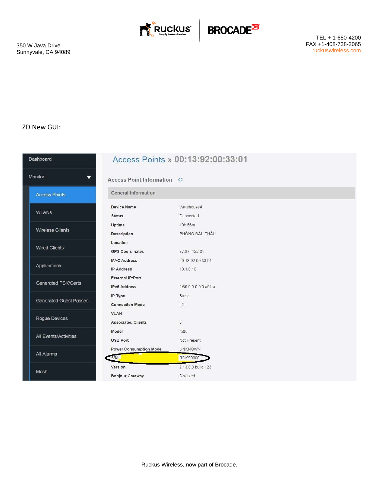



## ZD New GUI:

| <b>Dashboard</b>              |                                                    | Access Points » 00:13:92:00:33:01 |
|-------------------------------|----------------------------------------------------|-----------------------------------|
| Monitor                       | $\blacktriangledown$<br>Access Point Information C |                                   |
| <b>Access Points</b>          | <b>General Information</b>                         |                                   |
|                               | <b>Device Name</b>                                 | Warehouse4                        |
| <b>WLANs</b>                  | <b>Status</b>                                      | Connected                         |
|                               | Uptime                                             | 10h 56m                           |
| <b>Wireless Clients</b>       | Description                                        | PHÒNG ĐẦU THẦU                    |
|                               | Location                                           |                                   |
| <b>Wired Clients</b>          | <b>GPS Coordinates</b>                             | 37.37,-122.01                     |
|                               | <b>MAC Address</b>                                 | 00:13:92:00:33:01                 |
| Applications                  | <b>IP Address</b>                                  | 10.1.0.10                         |
|                               | <b>External IP:Port</b>                            |                                   |
| Generated PSK/Certs           | <b>IPv6 Address</b>                                | fe80:0:0:0:0:0:a01:a              |
|                               | IP Type                                            | Static                            |
| <b>Generated Guest Passes</b> | <b>Connection Mode</b>                             | L2                                |
|                               | <b>VLAN</b>                                        |                                   |
| Rogue Devices                 | <b>Associated Clients</b>                          | $\overline{0}$                    |
|                               | Model                                              | r500                              |
| All Events/Activities         | <b>USB Port</b>                                    | Not Present                       |
|                               | <b>Power Consumption Mode</b>                      | <b>UNKNOWN</b>                    |
| All Alarms                    | S/N                                                | <b>RCKS0000</b>                   |
| Mesh                          | Version                                            | 9.13.0.0 build 123                |
|                               | <b>Bonjour Gateway</b>                             | Disabled                          |